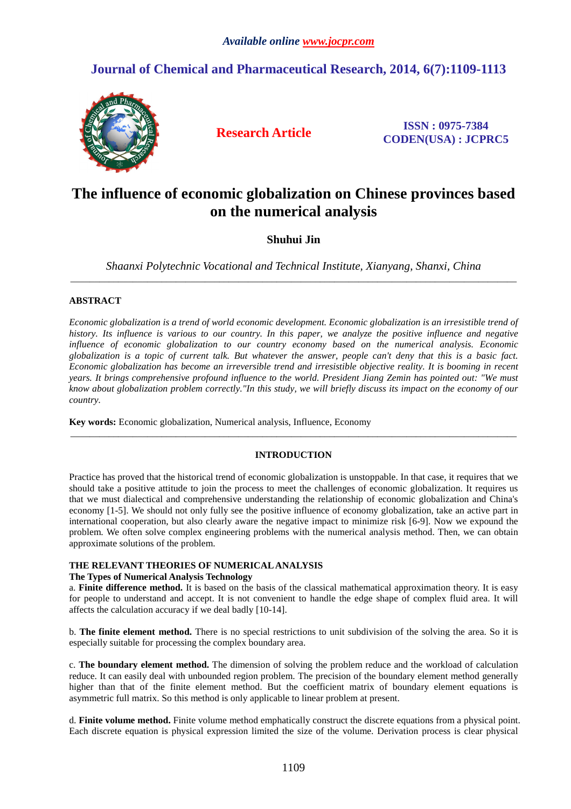# **Journal of Chemical and Pharmaceutical Research, 2014, 6(7):1109-1113**



**Research Article ISSN : 0975-7384 CODEN(USA) : JCPRC5**

# **The influence of economic globalization on Chinese provinces based on the numerical analysis**

## **Shuhui Jin**

*Shaanxi Polytechnic Vocational and Technical Institute, Xianyang, Shanxi, China*  \_\_\_\_\_\_\_\_\_\_\_\_\_\_\_\_\_\_\_\_\_\_\_\_\_\_\_\_\_\_\_\_\_\_\_\_\_\_\_\_\_\_\_\_\_\_\_\_\_\_\_\_\_\_\_\_\_\_\_\_\_\_\_\_\_\_\_\_\_\_\_\_\_\_\_\_\_\_\_\_\_\_\_\_\_\_\_\_\_\_\_\_\_

## **ABSTRACT**

*Economic globalization is a trend of world economic development. Economic globalization is an irresistible trend of history. Its influence is various to our country. In this paper, we analyze the positive influence and negative influence of economic globalization to our country economy based on the numerical analysis. Economic globalization is a topic of current talk. But whatever the answer, people can't deny that this is a basic fact. Economic globalization has become an irreversible trend and irresistible objective reality. It is booming in recent years. It brings comprehensive profound influence to the world. President Jiang Zemin has pointed out: "We must know about globalization problem correctly."In this study, we will briefly discuss its impact on the economy of our country.* 

**Key words:** Economic globalization, Numerical analysis, Influence, Economy

#### **INTRODUCTION**

\_\_\_\_\_\_\_\_\_\_\_\_\_\_\_\_\_\_\_\_\_\_\_\_\_\_\_\_\_\_\_\_\_\_\_\_\_\_\_\_\_\_\_\_\_\_\_\_\_\_\_\_\_\_\_\_\_\_\_\_\_\_\_\_\_\_\_\_\_\_\_\_\_\_\_\_\_\_\_\_\_\_\_\_\_\_\_\_\_\_\_\_\_

Practice has proved that the historical trend of economic globalization is unstoppable. In that case, it requires that we should take a positive attitude to join the process to meet the challenges of economic globalization. It requires us that we must dialectical and comprehensive understanding the relationship of economic globalization and China's economy [1-5]. We should not only fully see the positive influence of economy globalization, take an active part in international cooperation, but also clearly aware the negative impact to minimize risk [6-9]. Now we expound the problem. We often solve complex engineering problems with the numerical analysis method. Then, we can obtain approximate solutions of the problem.

#### **THE RELEVANT THEORIES OF NUMERICAL ANALYSIS**

#### **The Types of Numerical Analysis Technology**

a. **Finite difference method.** It is based on the basis of the classical mathematical approximation theory. It is easy for people to understand and accept. It is not convenient to handle the edge shape of complex fluid area. It will affects the calculation accuracy if we deal badly [10-14].

b. **The finite element method.** There is no special restrictions to unit subdivision of the solving the area. So it is especially suitable for processing the complex boundary area.

c. **The boundary element method.** The dimension of solving the problem reduce and the workload of calculation reduce. It can easily deal with unbounded region problem. The precision of the boundary element method generally higher than that of the finite element method. But the coefficient matrix of boundary element equations is asymmetric full matrix. So this method is only applicable to linear problem at present.

d. **Finite volume method.** Finite volume method emphatically construct the discrete equations from a physical point. Each discrete equation is physical expression limited the size of the volume. Derivation process is clear physical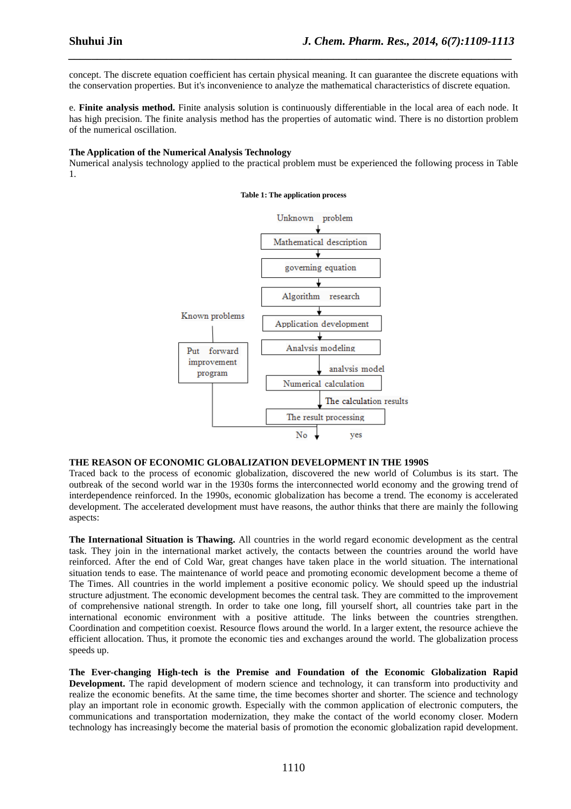concept. The discrete equation coefficient has certain physical meaning. It can guarantee the discrete equations with the conservation properties. But it's inconvenience to analyze the mathematical characteristics of discrete equation.

*\_\_\_\_\_\_\_\_\_\_\_\_\_\_\_\_\_\_\_\_\_\_\_\_\_\_\_\_\_\_\_\_\_\_\_\_\_\_\_\_\_\_\_\_\_\_\_\_\_\_\_\_\_\_\_\_\_\_\_\_\_\_\_\_\_\_\_\_\_\_\_\_\_\_\_\_\_*

e. **Finite analysis method.** Finite analysis solution is continuously differentiable in the local area of each node. It has high precision. The finite analysis method has the properties of automatic wind. There is no distortion problem of the numerical oscillation.

#### **The Application of the Numerical Analysis Technology**

Numerical analysis technology applied to the practical problem must be experienced the following process in Table 1.

## problem Unknown Mathematical description ₹ governing equation Algorithm research Known problems Application development Analysis modeling Put forward improvement analysis model program Numerical calculation The calculation results The result processing No yes

#### **Table 1: The application process**

#### **THE REASON OF ECONOMIC GLOBALIZATION DEVELOPMENT IN THE 1990S**

Traced back to the process of economic globalization, discovered the new world of Columbus is its start. The outbreak of the second world war in the 1930s forms the interconnected world economy and the growing trend of interdependence reinforced. In the 1990s, economic globalization has become a trend. The economy is accelerated development. The accelerated development must have reasons, the author thinks that there are mainly the following aspects:

**The International Situation is Thawing.** All countries in the world regard economic development as the central task. They join in the international market actively, the contacts between the countries around the world have reinforced. After the end of Cold War, great changes have taken place in the world situation. The international situation tends to ease. The maintenance of world peace and promoting economic development become a theme of The Times. All countries in the world implement a positive economic policy. We should speed up the industrial structure adjustment. The economic development becomes the central task. They are committed to the improvement of comprehensive national strength. In order to take one long, fill yourself short, all countries take part in the international economic environment with a positive attitude. The links between the countries strengthen. Coordination and competition coexist. Resource flows around the world. In a larger extent, the resource achieve the efficient allocation. Thus, it promote the economic ties and exchanges around the world. The globalization process speeds up.

**The Ever-changing High-tech is the Premise and Foundation of the Economic Globalization Rapid Development.** The rapid development of modern science and technology, it can transform into productivity and realize the economic benefits. At the same time, the time becomes shorter and shorter. The science and technology play an important role in economic growth. Especially with the common application of electronic computers, the communications and transportation modernization, they make the contact of the world economy closer. Modern technology has increasingly become the material basis of promotion the economic globalization rapid development.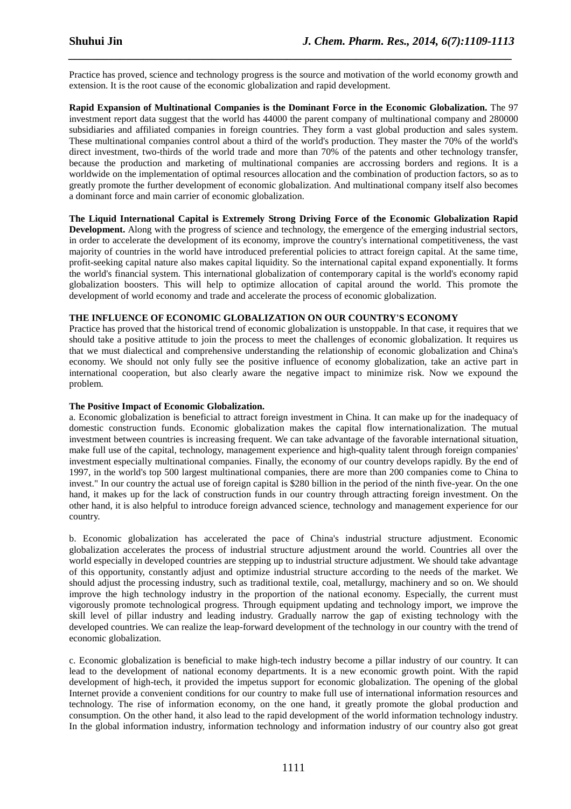Practice has proved, science and technology progress is the source and motivation of the world economy growth and extension. It is the root cause of the economic globalization and rapid development.

*\_\_\_\_\_\_\_\_\_\_\_\_\_\_\_\_\_\_\_\_\_\_\_\_\_\_\_\_\_\_\_\_\_\_\_\_\_\_\_\_\_\_\_\_\_\_\_\_\_\_\_\_\_\_\_\_\_\_\_\_\_\_\_\_\_\_\_\_\_\_\_\_\_\_\_\_\_*

**Rapid Expansion of Multinational Companies is the Dominant Force in the Economic Globalization.** The 97 investment report data suggest that the world has 44000 the parent company of multinational company and 280000 subsidiaries and affiliated companies in foreign countries. They form a vast global production and sales system. These multinational companies control about a third of the world's production. They master the 70% of the world's direct investment, two-thirds of the world trade and more than 70% of the patents and other technology transfer, because the production and marketing of multinational companies are accrossing borders and regions. It is a worldwide on the implementation of optimal resources allocation and the combination of production factors, so as to greatly promote the further development of economic globalization. And multinational company itself also becomes a dominant force and main carrier of economic globalization.

### **The Liquid International Capital is Extremely Strong Driving Force of the Economic Globalization Rapid**

**Development.** Along with the progress of science and technology, the emergence of the emerging industrial sectors, in order to accelerate the development of its economy, improve the country's international competitiveness, the vast majority of countries in the world have introduced preferential policies to attract foreign capital. At the same time, profit-seeking capital nature also makes capital liquidity. So the international capital expand exponentially. It forms the world's financial system. This international globalization of contemporary capital is the world's economy rapid globalization boosters. This will help to optimize allocation of capital around the world. This promote the development of world economy and trade and accelerate the process of economic globalization.

#### **THE INFLUENCE OF ECONOMIC GLOBALIZATION ON OUR COUNTRY'S ECONOMY**

Practice has proved that the historical trend of economic globalization is unstoppable. In that case, it requires that we should take a positive attitude to join the process to meet the challenges of economic globalization. It requires us that we must dialectical and comprehensive understanding the relationship of economic globalization and China's economy. We should not only fully see the positive influence of economy globalization, take an active part in international cooperation, but also clearly aware the negative impact to minimize risk. Now we expound the problem.

#### **The Positive Impact of Economic Globalization.**

a. Economic globalization is beneficial to attract foreign investment in China. It can make up for the inadequacy of domestic construction funds. Economic globalization makes the capital flow internationalization. The mutual investment between countries is increasing frequent. We can take advantage of the favorable international situation, make full use of the capital, technology, management experience and high-quality talent through foreign companies' investment especially multinational companies. Finally, the economy of our country develops rapidly. By the end of 1997, in the world's top 500 largest multinational companies, there are more than 200 companies come to China to invest." In our country the actual use of foreign capital is \$280 billion in the period of the ninth five-year. On the one hand, it makes up for the lack of construction funds in our country through attracting foreign investment. On the other hand, it is also helpful to introduce foreign advanced science, technology and management experience for our country.

b. Economic globalization has accelerated the pace of China's industrial structure adjustment. Economic globalization accelerates the process of industrial structure adjustment around the world. Countries all over the world especially in developed countries are stepping up to industrial structure adjustment. We should take advantage of this opportunity, constantly adjust and optimize industrial structure according to the needs of the market. We should adjust the processing industry, such as traditional textile, coal, metallurgy, machinery and so on. We should improve the high technology industry in the proportion of the national economy. Especially, the current must vigorously promote technological progress. Through equipment updating and technology import, we improve the skill level of pillar industry and leading industry. Gradually narrow the gap of existing technology with the developed countries. We can realize the leap-forward development of the technology in our country with the trend of economic globalization.

c. Economic globalization is beneficial to make high-tech industry become a pillar industry of our country. It can lead to the development of national economy departments. It is a new economic growth point. With the rapid development of high-tech, it provided the impetus support for economic globalization. The opening of the global Internet provide a convenient conditions for our country to make full use of international information resources and technology. The rise of information economy, on the one hand, it greatly promote the global production and consumption. On the other hand, it also lead to the rapid development of the world information technology industry. In the global information industry, information technology and information industry of our country also got great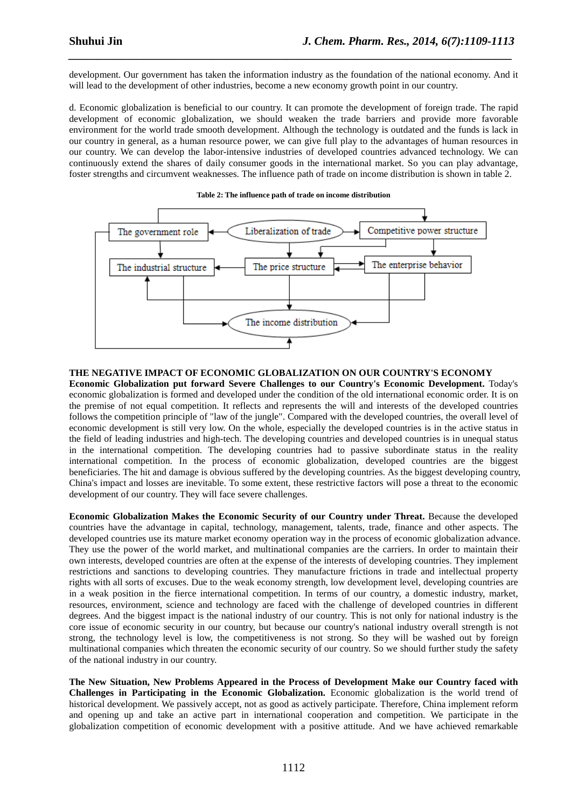development. Our government has taken the information industry as the foundation of the national economy. And it will lead to the development of other industries, become a new economy growth point in our country.

*\_\_\_\_\_\_\_\_\_\_\_\_\_\_\_\_\_\_\_\_\_\_\_\_\_\_\_\_\_\_\_\_\_\_\_\_\_\_\_\_\_\_\_\_\_\_\_\_\_\_\_\_\_\_\_\_\_\_\_\_\_\_\_\_\_\_\_\_\_\_\_\_\_\_\_\_\_*

d. Economic globalization is beneficial to our country. It can promote the development of foreign trade. The rapid development of economic globalization, we should weaken the trade barriers and provide more favorable environment for the world trade smooth development. Although the technology is outdated and the funds is lack in our country in general, as a human resource power, we can give full play to the advantages of human resources in our country. We can develop the labor-intensive industries of developed countries advanced technology. We can continuously extend the shares of daily consumer goods in the international market. So you can play advantage, foster strengths and circumvent weaknesses. The influence path of trade on income distribution is shown in table 2.



#### **Table 2: The influence path of trade on income distribution**

#### **THE NEGATIVE IMPACT OF ECONOMIC GLOBALIZATION ON OUR COUNTRY'S ECONOMY**

**Economic Globalization put forward Severe Challenges to our Country's Economic Development.** Today's economic globalization is formed and developed under the condition of the old international economic order. It is on the premise of not equal competition. It reflects and represents the will and interests of the developed countries follows the competition principle of "law of the jungle". Compared with the developed countries, the overall level of economic development is still very low. On the whole, especially the developed countries is in the active status in the field of leading industries and high-tech. The developing countries and developed countries is in unequal status in the international competition. The developing countries had to passive subordinate status in the reality international competition. In the process of economic globalization, developed countries are the biggest beneficiaries. The hit and damage is obvious suffered by the developing countries. As the biggest developing country, China's impact and losses are inevitable. To some extent, these restrictive factors will pose a threat to the economic development of our country. They will face severe challenges.

**Economic Globalization Makes the Economic Security of our Country under Threat.** Because the developed countries have the advantage in capital, technology, management, talents, trade, finance and other aspects. The developed countries use its mature market economy operation way in the process of economic globalization advance. They use the power of the world market, and multinational companies are the carriers. In order to maintain their own interests, developed countries are often at the expense of the interests of developing countries. They implement restrictions and sanctions to developing countries. They manufacture frictions in trade and intellectual property rights with all sorts of excuses. Due to the weak economy strength, low development level, developing countries are in a weak position in the fierce international competition. In terms of our country, a domestic industry, market, resources, environment, science and technology are faced with the challenge of developed countries in different degrees. And the biggest impact is the national industry of our country. This is not only for national industry is the core issue of economic security in our country, but because our country's national industry overall strength is not strong, the technology level is low, the competitiveness is not strong. So they will be washed out by foreign multinational companies which threaten the economic security of our country. So we should further study the safety of the national industry in our country.

**The New Situation, New Problems Appeared in the Process of Development Make our Country faced with Challenges in Participating in the Economic Globalization.** Economic globalization is the world trend of historical development. We passively accept, not as good as actively participate. Therefore, China implement reform and opening up and take an active part in international cooperation and competition. We participate in the globalization competition of economic development with a positive attitude. And we have achieved remarkable